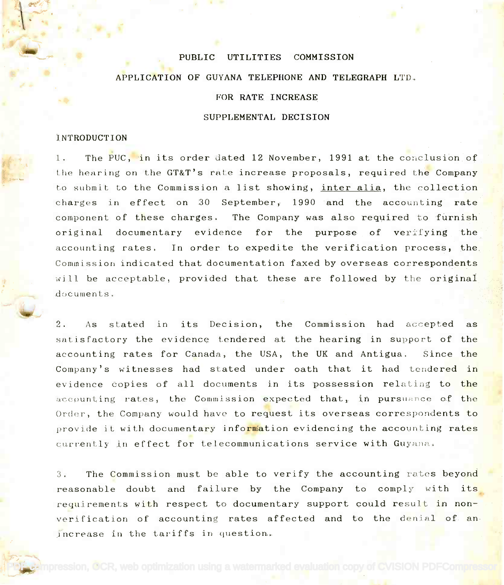#### PUBLIC UTILITIES COMMISSION

## APPLICATION OF GUYANA TELEPHONE AND TELEGRAPH LTD.

# FOR RATE INCREASE

### SUPPLEMENTAL DECISION

#### **INTRODUCTION**

1. The PUC, in its order dated 12 November, 1991 at the conclusion of the hearing on the GT&T's rate increase proposals, required the Company the to submit to the Commission a list showing, <u>inter alia</u>, the collection and charges in effect on 30 September, 1990 and the accounting rate component of these charges. The Company was also required to furnish original documentary evidence for the purpose of verifying the accounting rates. In order to expedite the verification process, the Commission indicated that documentation faxed by overseas correspondents Commission indicated that documentation faxed by overseas correspondents will be acceptable, provided that these are followed by the original  $\mathbb{Z}$ documents.

2. As stated in its Decision, the Commission had accepted as satisfactory the evidence tendered at the hearing in support of the accounting rates for Canada, the USA, the UK and Antigua. Since the Company's witnesses had stated under oath that it had tendered i<mark>n the s</mark> evidence copies of all documents in its possession relating to the accounting rates, the Commission expected that, in pursuance of the Order, the Company would have to request its overseas correspondents to the set of the set of the set of the s provide it with documenta<mark>ry informa</mark>tion evidencing the accounting rates **the set of the set of the set of the s** currently in effect for telecommunications service with Guyana.

3. The Commission must be able to verify the accounting rates beyond reasonable doubt and failure by the Company to comply with its requirements with respect to documentary support could result in nonverification of accounting rates affected and to the denial of an increase in the tariffs in question. increase in the tariffs in question.

 $p$ ression, **O**CR, web optimization using a watermarked evaluation copy of CVISION PDFCompres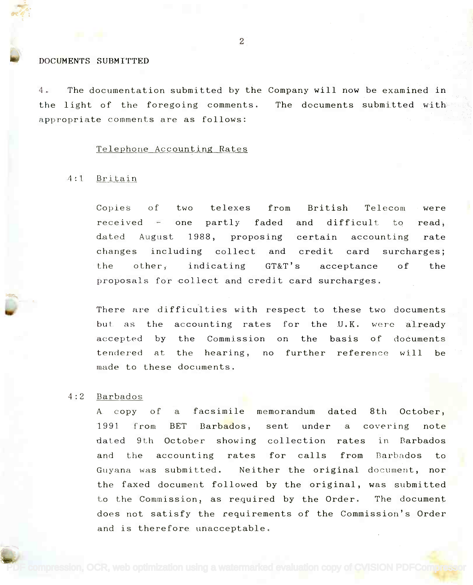#### DOCUMENTS SUBMITTED

4. The documentation submitted by the Company will now be examined in the light of the foregoing comments. The documents submitted with  $\leq$ appropriate comments are as follows: appropriate comments are as follows:

#### Telephone Accounting Rates

#### 4:1 Britain

Copies of two telexes from British Telecom were Copies partly faded and difficult to dated August 1988, proposing certain accounting rate changes including collect and credit card surcharges; the other, indicating GT&T's acceptance of the proposals for collect and credit card surcharges.  $received - one$ were read,

There are difficulties with respect to these two documents There are difficulties with respect to these two documents but as the accounting rates for the U.K. were already but as the accounting rates for the **U.K.** were already accepted by the Commission on the basis of documents accepted by the Commission on thebasis of documents tendered at the hearing, no further reference will be the made to these documents.

# 4:2 Barbados 4:2 Barbados

A copy of a facsimile memorandum dated 8th October, A copy 1991 from BET Barbados, sent under a covering note dated 9th October showing collection rates in Barbados and the accounting rates for calls from Barbados to Guyana was submitted. Neither the original document, nor the faxed document followed by the original, was submitted to the Commission, as required by the Order. The document does not satisfy the requirements of the Commission's Order does not satisfy the requirements of the Commission's Order and is therefore unacceptable. and is therefore unacceptable.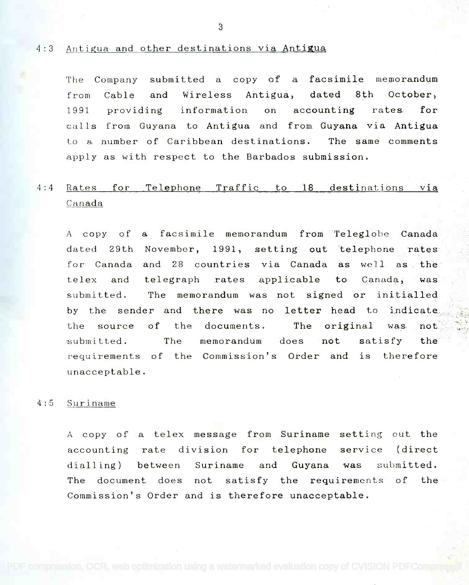## 4:3 Antigua and other destinations via Antigua

The Company submitted a copy of a facsimile memorandum The Company submitted a copy of a facsimile memorandum from Cable and Wireless Antigua, dated 8th October, from Cable and Wireless Antigua, dated 8th October, 1991 providing information on accounting rates for 1991 providing information on accounting rates for calls from Guyana to Antigua and from Guyana via Antigua calls from Guyana to Antigua and from Guyana via Antigua Lo a number of Caribbean destinations. The same comments Lo a number of Caribbean destinations. The same comments apply as with respect to the Barbados submission. apply as with respect to the Barbados submission.

# 4:4 Rates for Telephone Traffic to 18 destinations Via' Canada

A copy of a facsimile memorandum from Teleglobe Canada A copy of a facsimile memorandum from Teleglobe Canada dated 29th November, 1991, setting out telephone rates dated 29th November, 1991, setting out telephone rates for Canada and 28 countries via Canada as well as the for Canada and 28 countries via Canada as well as the' telex and telegraph rates applicable to Canada, was  ${\tt submitted.}$  The memorandum was not signed or initialled  $\begin{tabular}{ccc} \multicolumn{2}{c}{\textbf{[1]}}\end{tabular}$ by the sender and there was no letter head to indicate the source of the documents. The original was not. submitted. The memorandum does not satisfy the the requirements of the Commission's Order and is therefore unacceptable. unacceptable.

## 4:5 Suriname

A copy of a telex message from Suriname setting out the A copy of a telex message from Suriname setting out the accounting rate division for telephone service (direct dialling) between Suriname and Guyana was submitted. dialling) between Suriname and Guyana was submitted. The document does not satisfy the requirements of the Commission's Order and is therefore unacceptable. Commission's Order and is therefore unacceptable.

3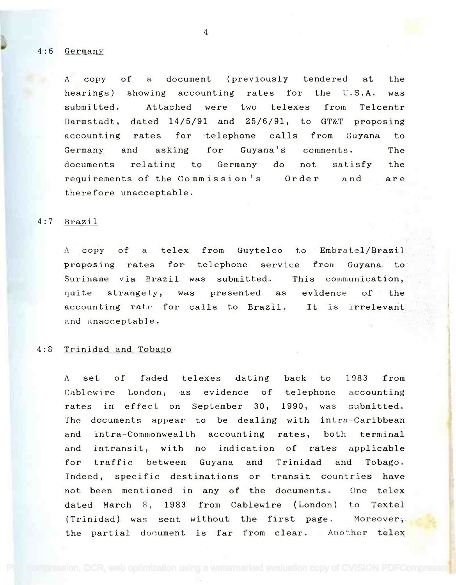4:6 Germany

A copy of a document (previously tendered at the A copy of a document (previously tendered at the hearings) showing accounting rates for the U.S.A. was hearings) showing accounting rates for the U.S.A. was submitted. Attached were two telexes from Telcentr submitted. Attached were two telexes from Telcentr Darmstadt, dated 14/5/91 and 25/6/91, to GT&T proposing Darmstadt, dated 14/5/91 and 25/6/91, to GT&T proposing accounting rates for telephone calls from Guyana to accounting rates for telephone calls from Guyana to Germany and asking for Guyana's comments. The Germany and asking for Guyana's comments. The documents relating to Germany do not satisfy the documents relating to Germany do not satisfy the requirements of the Commission's Order and are therefore unacceptable. therefore unacceptable.

## 4:7 Brazil

A copy of a telex from Guytelco to Embratcl/Brazil A ,copy of a telex from Guytelco to Embratel/Brazil proposing rates for telephone service from Guyana to Suriname via Brazil was submitted. This communication, Suriname via Brazil was submitted. This communication, quite strangely, was presented as evidence of the strangely, accounting rate for calls to Brazil. It is irrelevant accounting rate for calls to Brazil. It is irrelevant and unacceptable. and unacceptable.

# 4:8 Trinidad and Tobago

A set of faded telexes dating back to 1983 from A set of faded telexes dating back to 1983 from Cablewire London, as evidence of telephone accounting rates in effect on September 30, 1990, was submitted. The documents appear to be dealing with intra-Caribbean and intra-Commonwealth accounting rates, both terminal and intransit, with no indication of rates applicable for traffic between Guyana and Trinidad and Tobago. for traffic between Guyana and Trinidad and Tobago. Indeed, specific destinations or transit countries have Indeed, specific destinations or transit countries have not been mentioned in any of the documents. One telex dated March 8, 1983 from Cablewire (London) to Textel (Trinidad) was sent without the first page. Moreover, (Trinidad) was sent without the first page. Moreover, the partial document is far from clear. Another telex

4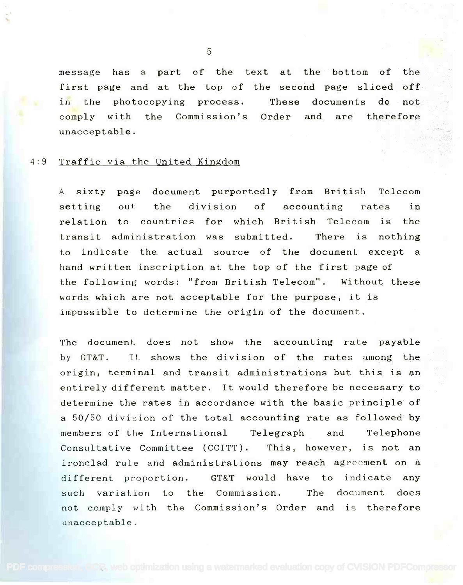message has a part of the text at the bottom of the setting first page and at the top of the second page sliced off $\cdot$ in the photocopying process. These documents do not the comply with the Commission's Order and are therefore comply with the Commission's Order and are therefore unacceptable. unacceptable.

## 4:9 Traffic via the United Kingdom

A sixty page document purportedly from British Telecom setting out, the division of accounting rates in setting out the division of accounting rates in relation to countries for which British Telecom is the transit administration was submitted. There is nothing transit administration was submitted. There is nothing to indicate the actual source of the document except a to indicate the actual source of the document except a hand written inscription at the top of the first page of hand written inscription at the top of the first page of the following words: "from British Telecom". Without these words which are not acceptable for the purpose, it is words which are not acceptable for the purpose, it is impossible to determine the origin of the document. impossible to determine the origin of the document.

The document does not show the accounting rate payable The document does not show the accounting rate payable by GT&T. it shows the division of the rates among the by GT&T. Tt shows the division of the rates among the origin, terminal and transit administrations but this is an origin, terminal and transit administrations but this is an entirely different matter. It would therefore be necessary to  $\Box$ determine the rates in accordance with the basic principle of determine the rates in accordance with the basic principle of a 50/50 division of the total accounting rate as followed by a 50/50 division of the total accounting rate as followed by members of the International Telegraph and Telephone members of the International Telegraph and Telephone Consultative Committee (CCITT). This, however, is not an Consultative Committee (CCITT). This, however, is not an ironclad rule and administrations may reach agreement on a ironclad rule and administrations may reach agreement on a different proportion. GT&T would have to indicate any different proportion. GT&T would have to indicate any such variation to the Commission. The document does such variation to the Commission. The document does not comply with the Commission's Order and is therefore not comply wi th the Commission's Order and is therefore unacceptable. unacceptable.

5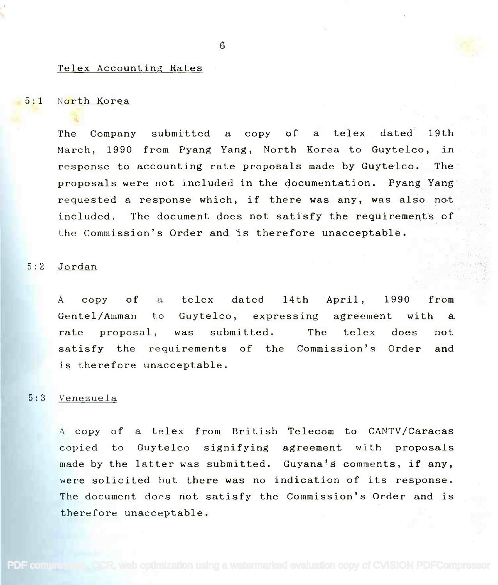## Telex Accounting Rates

### 5:1 North Korea

The Company submitted a copy of a telex dated 19th The Company submitted a copy of a telex dated 19th March, 1990 from Pyang Yang, North Korea to Guytelco, in response to accounting rate proposals made by Guytelco. The  $\sim$ proposals were not included in the documentation. Pyang Yang proposals were not lncluded in the documentation. Pyang Yang requested a response which, if there was any, was also not included. The document does not satisfy the requirements of  $\Box$ the Commission's Order and is therefore unacceptable. the Commission's Order and is therefore unacceptable.

#### 5:2 Jordan

A copy of a telex dated 14th April, 1990 from Gentel/Amman to Guytelco, expressing agreement with a rate proposal, was submitted. The telex does not satisfy the requirements of the Commission's Order and is therefore unacceptable. is therefore unacceptable.

## 5:3 Venezuela

A copy of a telex from British Telecom to CANTV/Caracas A copy of a telex from British Telecom to CANTV/Caracas copied to Guytelco signifying agreement with proposals copied to Guytelco signifying agreement with proposals made by the latter was submitted. Guyana's comments, if any, made by the latter was submitted. Guyana's comments, if any, were solicited but there was no indication of its response. were solicited but there was no indication of its response. The document does not satisfy the Commission's Order and is The document does not satisfy the Commission's Order and is therefore unacceptable. therefore unacceptable.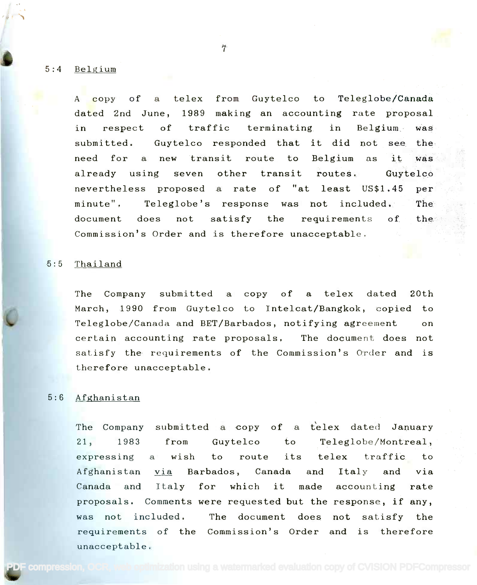5:4 Belgium

A copy of a telex from Guytelco to Teleglobe/Canada A copy of a telex from Guytelco to Teleglobe/Canada dated 2nd June, 1989 making an accounting rate proposal dated 2nd June, 1989 making an accounting rate proposal in respect of traffic terminating in Belgium was in respect of traffic terminating in Belgium was submitted. Guytelco responded that it did not see the need for a new transit route to Belgium as it was already using seven other transit routes. Guytelco already using seven other transit routes. Guytelco nevertheless proposed a rate of "at least US\$1.45 per nevertheless proposed a rate of "at least US\$1.45 per minute",  $\;$  Teleglobe's response was not included. The  $\;$  ${\tt document\;\;\; does \;\;\; not \;\;\; satisfy \;\;\; the \;\;\; regularements \;\;\; of \;\;\; the \;\; \; respectively.}$ Commission's Order and is therefore unacceptable. Commission's Order and is therefore unacceptable.

7

## 5:5 Thailand

The Company submitted a copy of a telex dated 20th The Company submitted a copy of a telex dated 20th March, 1990 from Guytelco to Intelcat/Bangkok, copied to March, 1990 from Guytelco to Intelcat/Bangkok, copied to Teleglobe/Canada and BET/Barbados, notifying agreement on Teleglobe/Canada and BET/Barbados, notifying agreement on certain accounting rate proposals. The document does not satisfy the requirements of the Commission's Order and is satisfy the requirements of the Commission's Order and is therefore unacceptable. therefore unacceptable.

# 5:6 Afghanistan

The Company submitted a copy of a telex dated January 21, 1983 from Guytelco to Teleglobe/Montreal, 21, 1983 fromGuytelco to Teleglobe/Montreal, expressing a wish to route its telex traffic to Afghanistan via Barbados, Canada and Italy and via Afghanistan via Barbados, Canada and Italy and via Canada and Italy for which it made accounting rate Canada and Italy for which it made accounting rate proposals. Comments were requested but the response, if any, proposals. Comments were requested but the response, if any, was not included. The document does not satisfy the was not included. The document does not satisfy the requirements of the Commission's Order and is therefore unacceptable. unacceptable.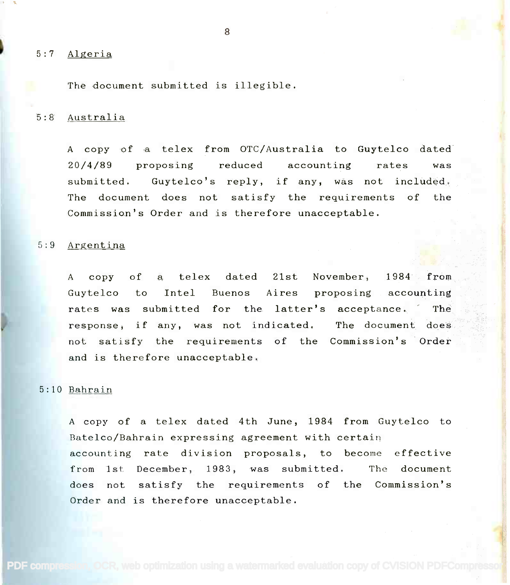#### 5:7 Algeria

The document submitted is illegible.

## 5:8 Australia

A copy of a telex from OTC/Australia to Guytelco dated 20/4/89 proposing reduced accounting rates was submitted. Guytelco's reply, if any, was not included. The document does not satisfy the requirements of the Commission's Order and is therefore unacceptable. Commission's Order and is therefore unacceptable.

#### 5:9 Argentina

A copy of a telex dated 21st November, 1984 from A copy of a telex dated 21st November, 1984 from Guytelco to Intel Buenos Aires proposing accounting Guytelco to Intel Buenos Aires proposing accounting rates was submitted for the latter's acceptance. The state of the state of the state of the state of the state of the state of the state of the state of the state of the state of the state of the state of the state of the response, if any, was not indicated. The document does the state of the state of the state of the state of the not satisfy the requirements of the Commission's Order and is therefore unacceptable. and is therefore unacceptable.

## 5:10 Bahrain

A copy of a telex dated 4th June, 1984 from Guytelco to A copy of a telex dated 4th June, 1984 from Guytelco to Batelco/Bahrain expressing agreement with certain Batelco/Bahrain expressing agreement with certain accounting rate division proposals, to become effective accounting rate division proposals, to become effective from 1st December, 1983, was submitted. The document from 1st December, 1983, was submitted. The document does not satisfy the requirements of the Commission's does not satisfy the requirements of the Commission's Order and is therefore unacceptable. Order and is therefore unacceptable.

PDF compression, OCR, web optimization using a watermarked evaluation copy of CVISION PDFComp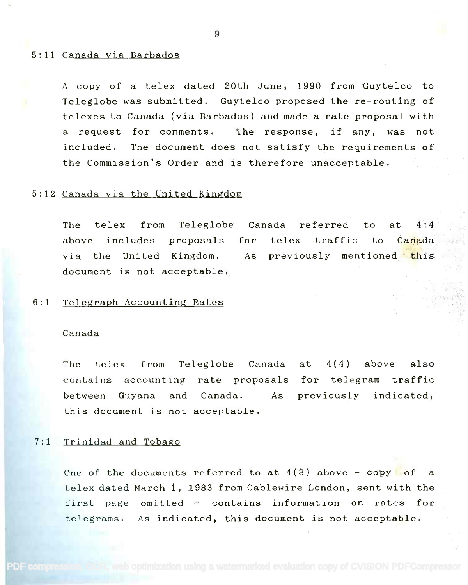#### 5:11 Canada via Barbados

A copy of a telex dated 20th June, 1990 from Guytelco to A copy of a telex dated 20th June, 1990 from Guytelco to Teleglobe was submitted. Guytelco proposed the re-routing of Teleglobe was submitted. Guytelco proposed the re-routing of telexes to Canada (via Barbados) and made a rate proposal with telexes to Canada (via Barbados) and made a rate proposal with a request for comments. The response, if any, was not a request for comments. The response, if any, was not included. The document does not satisfy the requirements of included. The document does not satisfy the requirements of the Commission's Order and is therefore unacceptable. the Commission's Order and is therefore unacceptable.

## 5:12 Canada via the United Kingdom

The telex from Teleglobe Canada referred to at  $4:4$  . above includes proposals for telex traffic to C<mark>ana</mark>da via the United Kingdom. As previously mentioned <mark>th</mark>is document is not acceptable. document is not acceptable. at  $4:4$ to Canada via the United Kingdom. for telex traffic

# 6:1 Telegraph Accounting Rates

## Canada

The telex from Teleglobe Canada at 4(4) above also The telex from Teleglobe Canada contains accounting rate proposals for telegram traffic between Guyana and Canada. As previously indicated, previously indicated, this document is not acceptable. this document is not acceptable. between Guyana and Canada. As at 4(4) above also for telegram traffic

## 7:1 Trinidad and Tobago

One of the documents referred to at  $4(8)$  above - copy of a telex dated March 1, 1983 from Cablewire London, sent with the telex dated March **1,** 1983 from Cablewire London, sent with the first page omitted  $\tau$  contains information on rates for telegrams. As indicated, this document is not acceptable. telegrams. As indicated, this document is not acceptable.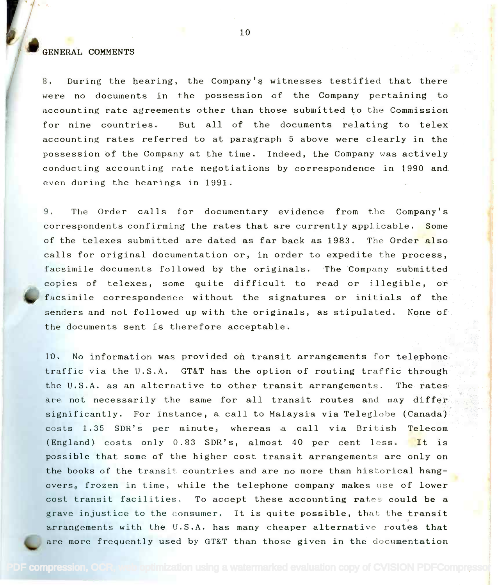# GENERAL COMMENTS

for nine countries. 8. During the hearing, the Company's witnesses testified that there were no documents in the possession of the Company pertaining to were no documents in the possession of the Company pertaining to accounting rate agreements other than those submitted to the Commission accounting rate agreements other than those submitted to the Commission for nine countries. But all of the documents relating to telex accounting rates referred to at paragraph 5 above were clearly in the possession of the Company at the time. Indeed, the Company was actively possession of the Company at the time. Indeed, the Company was actively conducting accounting rate negotiations by correspondence in 1990 and even during the hearings in 1991. even during the hearings in 1991.

9. The Order calls for documentary evidence from the Company's 9. The Order calls for documentary evidence from the Company's correspondents confirming the rates that are currently applicable. Some of the telexes submitted are dated as far back as 1983. The Order also calls for original documentation or, in order to expedite the process, facsimile documents followed by the originals. The Company submitted facsimile documents followed by the originals. The Company submitted copies of telexes, some quite difficult to read or illegible, or facsimile correspondence without the signatures or initials of the senders and not followed up with the originals, as stipulated. None of the documents sent is therefore acceptable. the documents sent is therefore acceptable.

10. No information was provided on transit arrangements for telephone 10. No information was provided on transit arrangements for telephone' traffic via the U.S.A. GT&T has the option of routing traffic through the state of the U.S.A. as an alternative to other transit arrangements. The rates are not necessarily the same for all transit routes and may differ significantly. For instance, a call to Malaysia via Teleglobe (Canada) and the set costs 1.35 SDR's per minute, whereas a call via British Telecom (England) costs only 0.83 SDR's, almost 40 per cent less. It is possible that some of the higher cost transit arrangements are only on the books of the transit countries and are no more than historical hangovers, frozen in time, while the telephone company makes use of lower cost transit facilities. To accept these accounting rates could be a grave injustice to the consumer. It is quite possible, that the transit arrangements with the U.S.A. has many cheaper alternative routes that arrangements with the U.S.A. has many cheaper alternative routes that are more frequently used by GT&T than those given in the documentation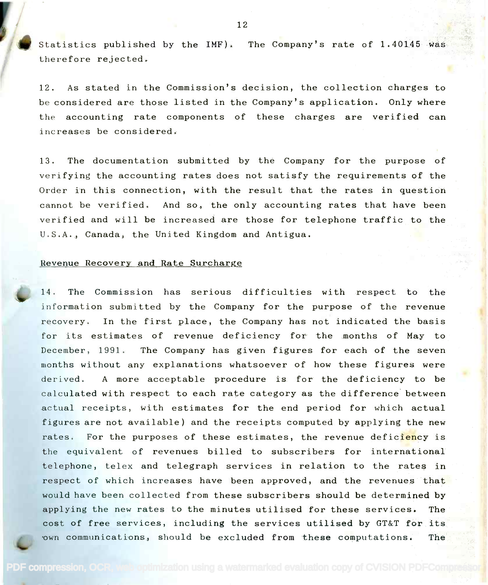**62** Statistics published by the IMF). The Company's rate of 1.40145 was therefore rejected. therefore rejected.

12. As stated in the Commission's decision, the collection charges to 12. As stated in the Commission's decision, the collection charges to be considered are those listed in the Company's application. Only where be considered are those listed in the Company's application. Only where the accounting rate components of these charges are verified can the accounting rate components of these charges are verified can increases be considered. increases be considered.

13. The documentation submitted by the Company for the purpose of 13. The documentation submitted by the Company for the purpose of verifying the accounting rates does not satisfy the requirements of the verifying the accounting rates does not satisfy the requirements of the Order in this connection, with the result that the rates in question Order in this connection, with the result that the rates in question cannot be verified. And so, the only accounting rates that have been cannot be verified. And so, the only accounting rates that have been verified and will be increased are those for telephone traffic to the U.S.A., Canada, the United Kingdom and Antigua. U.S.A., Canada, the United Kingdom and Antigua.

#### Revenue Recovery and Rate Surcharge

14. The Commission has serious difficulties with respect to the information submitted by the Company for the purpose of the revenue recovery. In the first place, the Company has not indicated the basis recovery. In the first place, the Company has not indicated the basis for its estimates of revenue deficiency for the months of May to December, 1991. The Company has given figures for each of the seven December, 1991. The Company has given figures for each of the seven months without any explanations whatsoever of how these figures were months without any explanations whatsoever of how these figures were derived. A more acceptable procedure is for the deficiency to be derived. A more acceptable procedure is for the deficiency to be calculated with respect to each rate category as the difference between actual receipts, with estimates for the end period for which actual actual receipts, with estimates for the end period for which actual figures are not available) and the receipts computed by applying the new figures are not available) and the receipts computed by applying the new rates. For the purposes of these estimates, the revenue defic<mark>ienc</mark>y is the set the equivalent of revenues billed to subscribers for international telephone, telex and telegraph services in relation to the rates in respect of which increases have been approved, and the revenues that would have been collected from these subscribers should be determined by would have been collected from these subscribers should be determined by applying the new rates to the minutes utilised for these services. The applying the new rates to the minutes utilised for these services. The cost of free services, including the services utilised by GT&T for its cost of free services, including the services utilised by GT&T for its own communications, should be excluded from these computations. The state of the state of the state of the state of the state of the state of the state of the state of the state of the state of the state of the state of th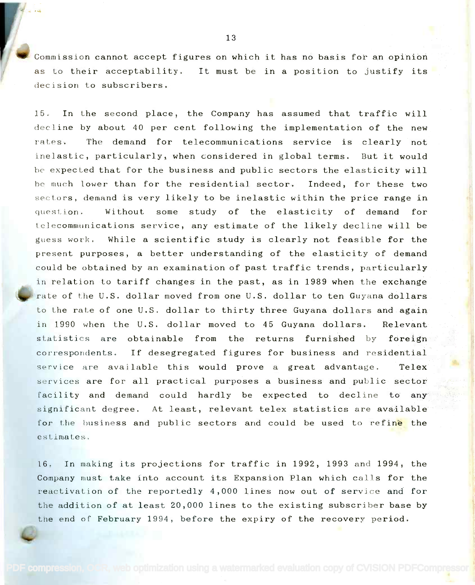Commission cannot accept figures on which it has no basis for an opinion as to their acceptability. It must be in a position to justify its as to their acceptability. It must be in a position to justify its decision to subscribers. decision to subscribers.

15. In the second place, the Company has assumed that traffic will 15. In the second place, the Company has assumed that traffic will decline by about 40 per cent following the implementation of the new decline by about 40 per cent following the implementation of the new rates. The demand for telecommunications service is clearly not inelastic, particularly, when considered in global terms. But it would he expected that for the business and public sectors the elasticity will *be* expected that for the business and public sectors the elasticity will he much lower than for the residential sector. Indeed, for these two be much lower than for the res ident ial sector. Indeed,for these two sectors, demand is very likely to be inelastic within the price range in sectors, demand is very likely to be inelastic within the price range in question. Without some study of the elasticity of demand for telecommunications service, any estimate of the likely decline will be Lelecommllnications service, any estimate of the likely decline will be guess work. While a scientific study is clearly not feasible for the the state of  $\mathbb{R}^3$ present purposes, a better understanding of the elasticity of demand present purposes, a better understanding of the elasticity of demand could be obtained by an examination of past traffic trends, particularly could be obtained by an examination of past traffic trends, particularly in relation to tariff changes in the past, as in 1989 when the exchange  $\|\cdot\|_2$ rate of the U.S. dollar moved from one U.S. dollar to ten Guyana dollars to the rate of one U.S. dollar to thirty three Guyana dollars and again to the rate of one U.S. dollar to thirty three Guyana dollars and again in 1990 when the U.S. dollar moved to 45 Guyana dollars. Relevant statistics are obtainable from the returns furnished by foreign the statistics are correspondents. If desegregated figures for business and residential  $\left\Vert \mathbf{c}\right\Vert$ service are available this would prove a great advantage. Telex services are for all practical purposes a business and public sector where  $\mathbb{R}$ facility and demand could hardly be expected to decline to any facility and demand could hardly be expected to decline to any significant degree. At least, relevant telex statistics are available significRnt degree. At least, relevant telex statistics are available for the business and public sectors and could be used to refine the estimates.

16. In making its projections for traffic in 1992, 1993 and 1994, the 16. In making its projections for traffic 1n 1992, 1993 and 1994, the Company must take into account its Expansion Plan which calls for the Company must take into account its Expansion Plan which calls for the reactivation of the reportedly  $4,000$  lines now out of service and for the addition of at least 20,000 lines to the existing subscriber base by the addition of at least 20,000 lines to the existing subscriber base by the end of February 1994, before the expiry of the recovery period. the end of February 1994, before the expiry of the recovery period.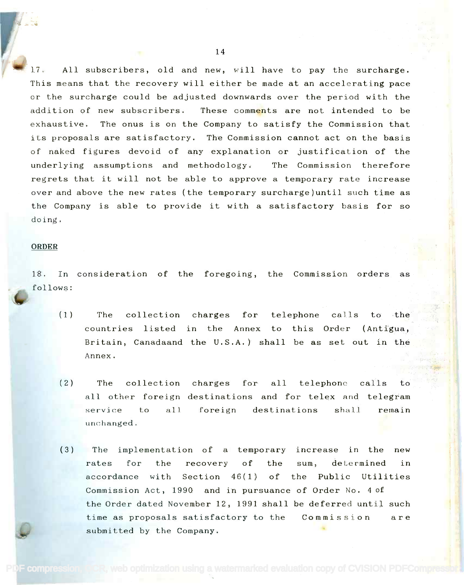All subscribers, old and new, will have to pay the surcharge. 17. All subscribers, old and new, will have to pay the surcharge. This means that the recovery will either be made at an accelerating pace This means that the recovery will either be made at an accelerating pace or the surcharge could be adjusted downwards over the period with the addition of new subscribers. These comm<mark>en</mark>ts are not intended to be exhaustive. The onus is on the Company to satisfy the Commission that its proposals are satisfactory. The Commission cannot act on the basis its proposals are satisfactory. The Commission cannot act on the basis of naked figures devoid of any explanation or justification of the the the underlying assumptions and methodology. The Commission therefore underlying assumptions and methodology. The Commission therefore regrets that it will not be able to approve a temporary rate increase over and above the new rates (the temporary surcharge)until such time as over and above the new rates (the temporary surcharge)until such time as the Company is able to provide it with a satisfactory basis for so doing. doing.

### ORDER

18. In consideration of the foregoing, the Commission orders as 18. In consideration of the foregoing, the Commission orders as follows: follows:

- (1) The collection charges for telephone calls to the countries listed in the Annex to this Order (Antigua, and the Britain, Canadaand the U.S.A.) shall be as set out in the Annex. Annex. The collection charges
- $(2)$ The collection charges The collection charges for all telephone calls to the  $\sim$ all other foreign destinations and for telex and telegram service to all foreign destinations shall remain service to all remain unchanged. unchanged.
- The implementation of a temporary increase in the new (3) The implementation of a temporary increase in the new rates for the recovery of the sum, determined in accordance with Section 46(1) of the Public Utilities accordance with Section 46(1) of the Public Utilities Commission Act, 1990 and in pursuance of Order No. 4 of Commission Act, 1990 and in pursuance of Order No.4 of the Order dated November 12, 1991 shall be deferred until such the Order dated November 12, 1991 shall be deferred until such time as proposals satisfactory to the Commission are submitted by the Company. submitted by the Company.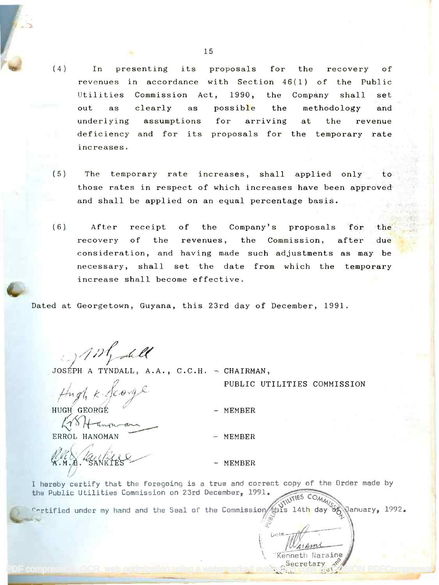- (4) In presenting its proposals for the recovery of revenues in accordance with Section 46(1) of the Public Utilities Commission Act, 1990, the Company shall set out as clearly as possib<mark>l</mark>e the methodology and underlying assumptions for arriving at the revenue deficiency and for its proposals for the temporary rate increases. increases. clearly as possible the for arriving at the revenue
- (5) The temporary rate increases, shall applied only to those rates in respect of which increases have been approved and shall be applied on an equal percentage basis. and shall be applied on an equal percentage basis.
- (6) After receipt of the Company's proposals for the recovery of the revenues, the Commission, after due consideration, and having made such adjustments as may be necessary, shall set the date from which the temporary necessary, shall set the date from which the temporary increase shall become effective. increase shall become effective.

Dated at Georgetown, Guyana, this 23rd day of December, 1991.

of the let ; \_)--1/*,J!/-£4'*

JOSÉPH A TYNDALL, A.A., C.C.H. - CHAIRMAN,

 $1, k.$  Scorye ;J,*/i, t;j~-er*

HUGH GEORGE HUGH' GEO®E

 $K\sqrt{8}$  + anounce

ERROL HANOMAN ERROL HANOMAN

 $\iota$   $\alpha$   $\kappa$ Milles  $\sqrt{}$ 

PUBLIC UTILITIES COMMISSION PUBLIC UTILITIES COMMISSION

 $\mathfrak{a}$ .

reprint

**Kenneth Naraine** Secretary  $\mathcal{S}$ [14.

- MEMBER

MEMBER

- MEMBER

I hereby certify that the foregoing is a true and correct copy of the Order made by I hereby certify that the foregoing is a true and correct copy of the Order made by the Public Utilities Commission on 23rd December, 1991. THES COMAN

 $\frac{1}{3}$  and  $\frac{1}{3}$  and  $\frac{1}{3}$  and  $\frac{1}{3}$  and the Seal of the Commission  $\frac{1}{3}$  is 14th day  $\frac{1}{3}$  anuary, 1992.

PDF compression, OCR, web optimization using a watermarked evaluation construction PDFCompressor